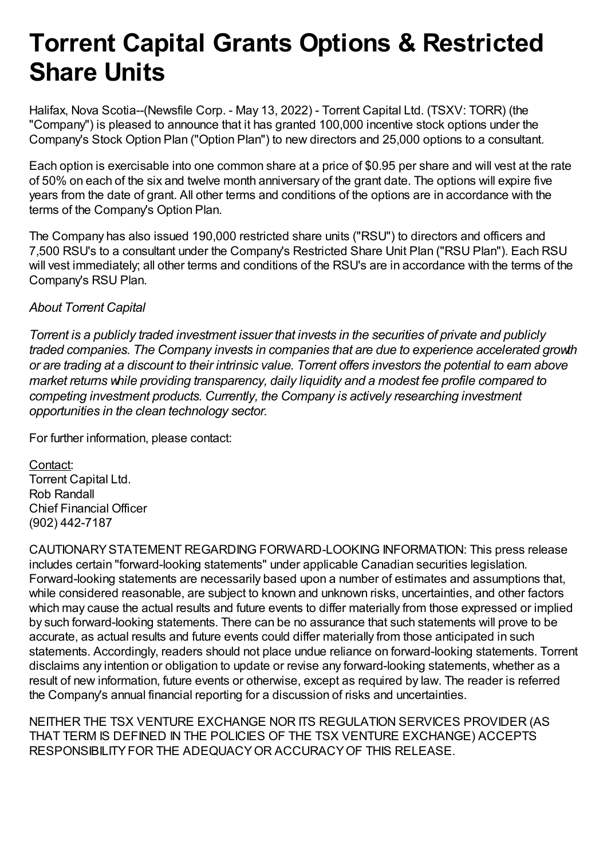## **Torrent Capital Grants Options & Restricted Share Units**

Halifax, Nova Scotia--(Newsfile Corp. - May 13, 2022) - Torrent Capital Ltd. (TSXV: TORR) (the "Company") is pleased to announce that it has granted 100,000 incentive stock options under the Company's Stock Option Plan ("Option Plan") to new directors and 25,000 options to a consultant.

Each option is exercisable into one common share at a price of \$0.95 per share and will vest at the rate of 50% on each of the six and twelve month anniversary of the grant date. The options will expire five years from the date of grant. All other terms and conditions of the options are in accordance with the terms of the Company's Option Plan.

The Company has also issued 190,000 restricted share units ("RSU") to directors and officers and 7,500 RSU's to a consultant under the Company's Restricted Share Unit Plan ("RSU Plan"). Each RSU will vest immediately; all other terms and conditions of the RSU's are in accordance with the terms of the Company's RSU Plan.

## *About Torrent Capital*

*Torrent is a publicly traded investment issuer that invests in the securities of private and publicly traded companies. The Company invests in companies that are due to experience accelerated growth* or are trading at a discount to their intrinsic value. Torrent offers investors the potential to earn above *market returns while providing transparency, daily liquidity and a modest fee profile compared to competing investment products. Currently, the Company is actively researching investment opportunities in the clean technology sector.*

For further information, please contact:

Contact: Torrent Capital Ltd. Rob Randall Chief Financial Officer (902) 442-7187

CAUTIONARYSTATEMENT REGARDING FORWARD-LOOKING INFORMATION: This press release includes certain "forward-looking statements" under applicable Canadian securities legislation. Forward-looking statements are necessarily based upon a number of estimates and assumptions that, while considered reasonable, are subject to known and unknown risks, uncertainties, and other factors which may cause the actual results and future events to differ materially from those expressed or implied by such forward-looking statements. There can be no assurance that such statements will prove to be accurate, as actual results and future events could differ materially from those anticipated in such statements. Accordingly, readers should not place undue reliance on forward-looking statements. Torrent disclaims any intention or obligation to update or revise any forward-looking statements, whether as a result of new information, future events or otherwise, except as required by law. The reader is referred the Company's annual financial reporting for a discussion of risks and uncertainties.

NEITHER THE TSX VENTURE EXCHANGE NOR ITS REGULATION SERVICES PROVIDER (AS THAT TERM IS DEFINED IN THE POLICIES OF THE TSX VENTURE EXCHANGE) ACCEPTS RESPONSIBILITYFOR THE ADEQUACYOR ACCURACYOF THIS RELEASE.